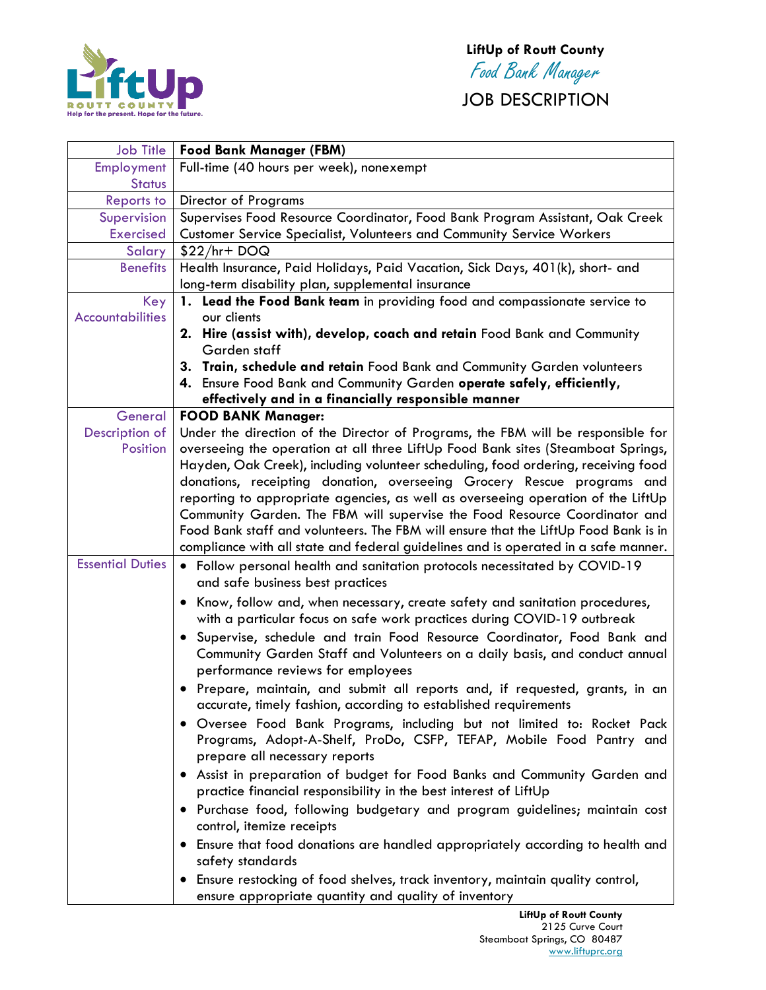

JOB DESCRIPTION

| <b>Job Title</b>        | <b>Food Bank Manager (FBM)</b>                                                             |
|-------------------------|--------------------------------------------------------------------------------------------|
| Employment              | Full-time (40 hours per week), nonexempt                                                   |
| <b>Status</b>           |                                                                                            |
| Reports to              | <b>Director of Programs</b>                                                                |
| Supervision             | Supervises Food Resource Coordinator, Food Bank Program Assistant, Oak Creek               |
| <b>Exercised</b>        | Customer Service Specialist, Volunteers and Community Service Workers                      |
| Salary                  | $$22/hr + DOQ$                                                                             |
| <b>Benefits</b>         | Health Insurance, Paid Holidays, Paid Vacation, Sick Days, 401(k), short- and              |
|                         | long-term disability plan, supplemental insurance                                          |
| Key                     | 1. Lead the Food Bank team in providing food and compassionate service to                  |
| <b>Accountabilities</b> | our clients                                                                                |
|                         | 2. Hire (assist with), develop, coach and retain Food Bank and Community                   |
|                         | Garden staff                                                                               |
|                         | 3. Train, schedule and retain Food Bank and Community Garden volunteers                    |
|                         | 4. Ensure Food Bank and Community Garden operate safely, efficiently,                      |
| General                 | effectively and in a financially responsible manner<br><b>FOOD BANK Manager:</b>           |
| Description of          | Under the direction of the Director of Programs, the FBM will be responsible for           |
| Position                | overseeing the operation at all three LiftUp Food Bank sites (Steamboat Springs,           |
|                         | Hayden, Oak Creek), including volunteer scheduling, food ordering, receiving food          |
|                         | donations, receipting donation, overseeing Grocery Rescue programs and                     |
|                         | reporting to appropriate agencies, as well as overseeing operation of the LiftUp           |
|                         | Community Garden. The FBM will supervise the Food Resource Coordinator and                 |
|                         | Food Bank staff and volunteers. The FBM will ensure that the LiftUp Food Bank is in        |
|                         | compliance with all state and federal guidelines and is operated in a safe manner.         |
| <b>Essential Duties</b> | • Follow personal health and sanitation protocols necessitated by COVID-19                 |
|                         | and safe business best practices                                                           |
|                         | • Know, follow and, when necessary, create safety and sanitation procedures,               |
|                         | with a particular focus on safe work practices during COVID-19 outbreak                    |
|                         | Supervise, schedule and train Food Resource Coordinator, Food Bank and<br>$\bullet$        |
|                         | Community Garden Staff and Volunteers on a daily basis, and conduct annual                 |
|                         | performance reviews for employees                                                          |
|                         | Prepare, maintain, and submit all reports and, if requested, grants, in an                 |
|                         | accurate, timely fashion, according to established requirements                            |
|                         | . Oversee Food Bank Programs, including but not limited to: Rocket Pack                    |
|                         | Programs, Adopt-A-Shelf, ProDo, CSFP, TEFAP, Mobile Food Pantry and                        |
|                         | prepare all necessary reports                                                              |
|                         | Assist in preparation of budget for Food Banks and Community Garden and                    |
|                         | practice financial responsibility in the best interest of LiftUp                           |
|                         | · Purchase food, following budgetary and program guidelines; maintain cost                 |
|                         | control, itemize receipts                                                                  |
|                         | Ensure that food donations are handled appropriately according to health and               |
|                         | safety standards                                                                           |
|                         | Ensure restocking of food shelves, track inventory, maintain quality control,<br>$\bullet$ |
|                         | ensure appropriate quantity and quality of inventory                                       |
|                         | $1:211n A$ David Canada                                                                    |